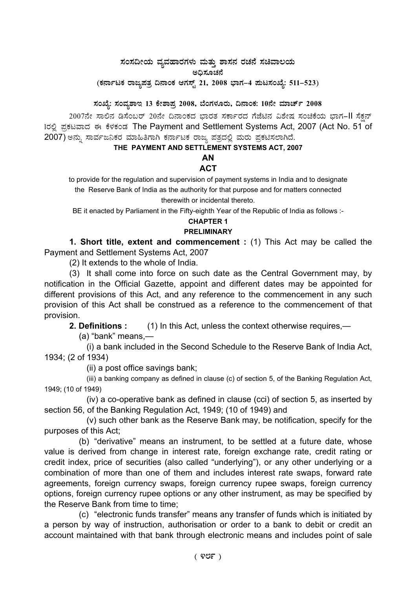# ಸಂಸದೀಯ ವ್ಯವಹಾರಗಳು ಮತ್ತು ಶಾಸನ ರಚನೆ ಸಚಿವಾಲಯ

ಅಧಿಸೂಚನೆ (ಕರ್ನಾಟಕ ರಾಜ್ಯಪತ್ರ ದಿನಾಂಕ ಆಗಸ್ಟ್ 21, 2008 ಭಾಗ–4 **ಮಟಸಂಖ್ಯೆ: 511–523**)

ಸಂಖ್ಯೆ: ಸಂವ್ಯಶಾಇ 13 ಕೇಶಾಪ್ರ 2008, ಬೆಂಗಳೂರು, ದಿನಾಂಕ: 10ನೇ ಮಾರ್ಚ್ 2008

2007ನೇ ಸಾಲಿನ ಡಿಸೆಂಬರ್ 20ನೇ ದಿನಾಂಕದ ಭಾರತ ಸರ್ಕಾರದ ಗೆಜೆಟಿನ ವಿಶೇಷ ಸಂಚಿಕೆಯ ಭಾಗ–II ಸೆಕ್ಷನ್ 1ರಲಿ ಪ್ರಕಟವಾದ ಈ ಕೆಳಕಂಡ The Payment and Settlement Systems Act, 2007 (Act No. 51 of 2007) ಅನ್ನು ಸಾರ್ವಜನಿಕರ ಮಾಹಿತಿಗಾಗಿ ಕರ್ನಾಟಕ ರಾಜ್ಯ ಪತ್ರದಲ್ಲಿ ಮರು ಪ್ರಕಟಿಸಲಾಗಿದೆ.

### **THE PAYMENT AND SETTLEMENT SYSTEMS ACT, 2007**

#### **AN ACT**

to provide for the regulation and supervision of payment systems in India and to designate the Reserve Bank of India as the authority for that purpose and for matters connected therewith or incidental thereto.

BE it enacted by Parliament in the Fifty-eighth Year of the Republic of India as follows :-

## **CHAPTER 1**

## **PRELIMINARY**

**1. Short title, extent and commencement :** (1) This Act may be called the Payment and Settlement Systems Act, 2007

(2) It extends to the whole of India.

(3) It shall come into force on such date as the Central Government may, by notification in the Official Gazette, appoint and different dates may be appointed for different provisions of this Act, and any reference to the commencement in any such provision of this Act shall be construed as a reference to the commencement of that provision.

**2. Definitions :** (1) In this Act, unless the context otherwise requires,—

(a) "bank" means,—

(i) a bank included in the Second Schedule to the Reserve Bank of India Act, 1934; (2 of 1934)

(ii) a post office savings bank;

(iii) a banking company as defined in clause (c) of section 5, of the Banking Regulation Act, 1949; (10 of 1949)

(iv) a co-operative bank as defined in clause (cci) of section 5, as inserted by section 56, of the Banking Regulation Act, 1949; (10 of 1949) and

(v) such other bank as the Reserve Bank may, be notification, specify for the purposes of this Act;

(b) "derivative" means an instrument, to be settled at a future date, whose value is derived from change in interest rate, foreign exchange rate, credit rating or credit index, price of securities (also called "underlying"), or any other underlying or a combination of more than one of them and includes interest rate swaps, forward rate agreements, foreign currency swaps, foreign currency rupee swaps, foreign currency options, foreign currency rupee options or any other instrument, as may be specified by the Reserve Bank from time to time;

(c) "electronic funds transfer" means any transfer of funds which is initiated by a person by way of instruction, authorisation or order to a bank to debit or credit an account maintained with that bank through electronic means and includes point of sale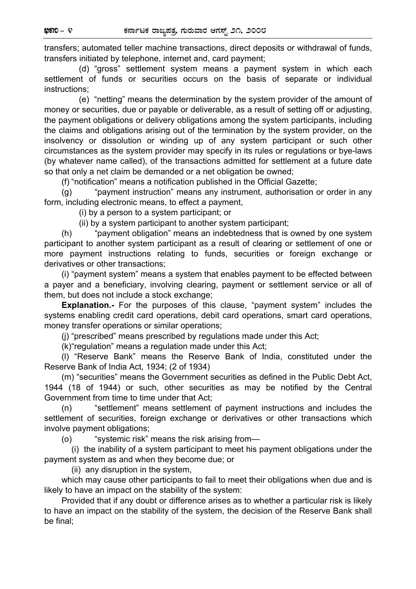transfers; automated teller machine transactions, direct deposits or withdrawal of funds, transfers initiated by telephone, internet and, card payment;

 (d) "gross" settlement system means a payment system in which each settlement of funds or securities occurs on the basis of separate or individual instructions;

 (e) "netting" means the determination by the system provider of the amount of money or securities, due or payable or deliverable, as a result of setting off or adjusting, the payment obligations or delivery obligations among the system participants, including the claims and obligations arising out of the termination by the system provider, on the insolvency or dissolution or winding up of any system participant or such other circumstances as the system provider may specify in its rules or regulations or bye-laws (by whatever name called), of the transactions admitted for settlement at a future date so that only a net claim be demanded or a net obligation be owned;

(f) "notification" means a notification published in the Official Gazette;

(g) "payment instruction" means any instrument, authorisation or order in any form, including electronic means, to effect a payment,

(i) by a person to a system participant; or

(ii) by a system participant to another system participant;

(h) "payment obligation" means an indebtedness that is owned by one system participant to another system participant as a result of clearing or settlement of one or more payment instructions relating to funds, securities or foreign exchange or derivatives or other transactions;

(i) "payment system" means a system that enables payment to be effected between a payer and a beneficiary, involving clearing, payment or settlement service or all of them, but does not include a stock exchange;

**Explanation.-** For the purposes of this clause, "payment system" includes the systems enabling credit card operations, debit card operations, smart card operations, money transfer operations or similar operations;

(j) "prescribed" means prescribed by regulations made under this Act;

(k) "regulation" means a regulation made under this Act;

(l) "Reserve Bank" means the Reserve Bank of India, constituted under the Reserve Bank of India Act, 1934; (2 of 1934)

(m) "securities" means the Government securities as defined in the Public Debt Act, 1944 (18 of 1944) or such, other securities as may be notified by the Central Government from time to time under that Act;

(n) "settlement" means settlement of payment instructions and includes the settlement of securities, foreign exchange or derivatives or other transactions which involve payment obligations;

(o) "systemic risk" means the risk arising from—

 (i) the inability of a system participant to meet his payment obligations under the payment system as and when they become due; or

(ii) any disruption in the system,

which may cause other participants to fail to meet their obligations when due and is likely to have an impact on the stability of the system:

Provided that if any doubt or difference arises as to whether a particular risk is likely to have an impact on the stability of the system, the decision of the Reserve Bank shall be final;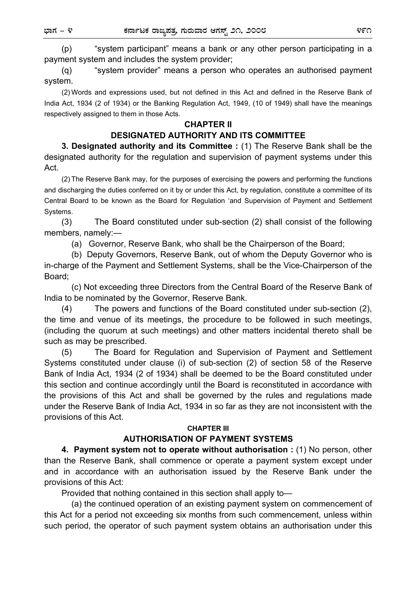(p) "system participant" means a bank or any other person participating in a payment system and includes the system provider;

(q) "system provider" means a person who operates an authorised payment system.

(2) Words and expressions used, but not defined in this Act and defined in the Reserve Bank of India Act, 1934 (2 of 1934) or the Banking Regulation Act, 1949, (10 of 1949) shall have the meanings respectively assigned to them in those Acts.

#### **CHAPTER II**

### **DESIGNATED AUTHORITY AND ITS COMMITTEE**

**3. Designated authority and its Committee :** (1) The Reserve Bank shall be the designated authority for the regulation and supervision of payment systems under this Act.

(2) The Reserve Bank may, for the purposes of exercising the powers and performing the functions and discharging the duties conferred on it by or under this Act, by regulation, constitute a committee of its Central Board to be known as the Board for Regulation 'and Supervision of Payment and Settlement Systems.

(3) The Board constituted under sub-section (2) shall consist of the following members, namely:—

(a) Governor, Reserve Bank, who shall be the Chairperson of the Board;

 (b) Deputy Governors, Reserve Bank, out of whom the Deputy Governor who is in-charge of the Payment and Settlement Systems, shall be the Vice-Chairperson of the Board;

 (c) Not exceeding three Directors from the Central Board of the Reserve Bank of India to be nominated by the Governor, Reserve Bank.

(4) The powers and functions of the Board constituted under sub-section (2), the time and venue of its meetings, the procedure to be followed in such meetings, (including the quorum at such meetings) and other matters incidental thereto shall be such as may be prescribed.

(5) The Board for Regulation and Supervision of Payment and Settlement Systems constituted under clause (i) of sub-section (2) of section 58 of the Reserve Bank of India Act, 1934 (2 of 1934) shall be deemed to be the Board constituted under this section and continue accordingly until the Board is reconstituted in accordance with the provisions of this Act and shall be governed by the rules and regulations made under the Reserve Bank of India Act, 1934 in so far as they are not inconsistent with the provisions of this Act.

#### **CHAPTER III**

#### **AUTHORISATION OF PAYMENT SYSTEMS**

**4. Payment system not to operate without authorisation :** (1) No person, other than the Reserve Bank, shall commence or operate a payment system except under and in accordance with an authorisation issued by the Reserve Bank under the provisions of this Act:

Provided that nothing contained in this section shall apply to—

 (a) the continued operation of an existing payment system on commencement of this Act for a period not exceeding six months from such commencement, unless within such period, the operator of such payment system obtains an authorisation under this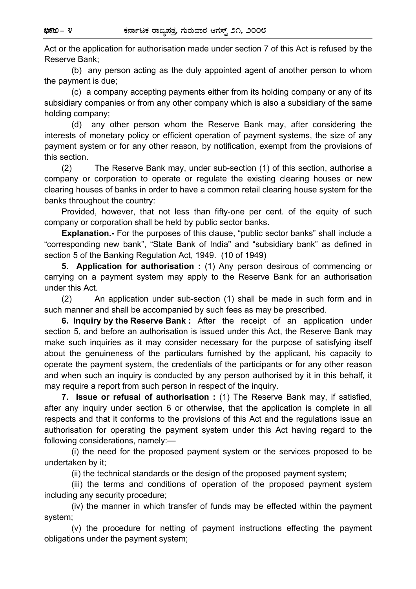Act or the application for authorisation made under section 7 of this Act is refused by the Reserve Bank;

 (b) any person acting as the duly appointed agent of another person to whom the payment is due;

 (c) a company accepting payments either from its holding company or any of its subsidiary companies or from any other company which is also a subsidiary of the same holding company;

 (d) any other person whom the Reserve Bank may, after considering the interests of monetary policy or efficient operation of payment systems, the size of any payment system or for any other reason, by notification, exempt from the provisions of this section.

(2) The Reserve Bank may, under sub-section (1) of this section, authorise a company or corporation to operate or regulate the existing clearing houses or new clearing houses of banks in order to have a common retail clearing house system for the banks throughout the country:

Provided, however, that not less than fifty-one per cent. of the equity of such company or corporation shall be held by public sector banks.

**Explanation.-** For the purposes of this clause, "public sector banks" shall include a "corresponding new bank", "State Bank of India" and "subsidiary bank" as defined in section 5 of the Banking Regulation Act, 1949. (10 of 1949)

**5. Application for authorisation :** (1) Any person desirous of commencing or carrying on a payment system may apply to the Reserve Bank for an authorisation under this Act.

(2) An application under sub-section (1) shall be made in such form and in such manner and shall be accompanied by such fees as may be prescribed.

**6. Inquiry by the Reserve Bank :** After the receipt of an application under section 5, and before an authorisation is issued under this Act, the Reserve Bank may make such inquiries as it may consider necessary for the purpose of satisfying itself about the genuineness of the particulars furnished by the applicant, his capacity to operate the payment system, the credentials of the participants or for any other reason and when such an inquiry is conducted by any person authorised by it in this behalf, it may require a report from such person in respect of the inquiry.

**7. Issue or refusal of authorisation :** (1) The Reserve Bank may, if satisfied, after any inquiry under section 6 or otherwise, that the application is complete in all respects and that it conforms to the provisions of this Act and the regulations issue an authorisation for operating the payment system under this Act having regard to the following considerations, namely:—

(i) the need for the proposed payment system or the services proposed to be undertaken by it;

(ii) the technical standards or the design of the proposed payment system;

 (iii) the terms and conditions of operation of the proposed payment system including any security procedure;

 (iv) the manner in which transfer of funds may be effected within the payment system;

 (v) the procedure for netting of payment instructions effecting the payment obligations under the payment system;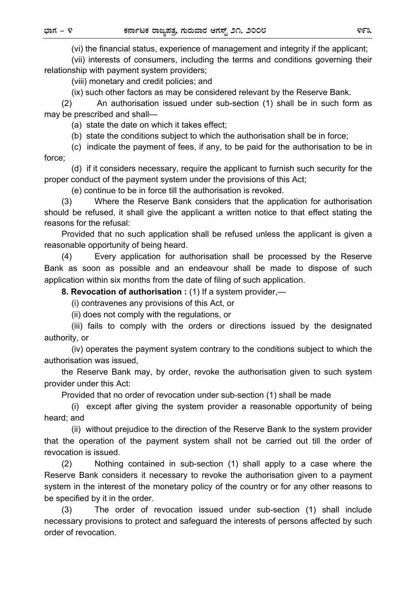(vi) the financial status, experience of management and integrity if the applicant;

 (vii) interests of consumers, including the terms and conditions governing their relationship with payment system providers;

(viii) monetary and credit policies; and

(ix) such other factors as may be considered relevant by the Reserve Bank.

 (2) An authorisation issued under sub-section (1) shall be in such form as may be prescribed and shall—

(a) state the date on which it takes effect;

(b) state the conditions subject to which the authorisation shall be in force;

 (c) indicate the payment of fees, if any, to be paid for the authorisation to be in force;

 (d) if it considers necessary, require the applicant to furnish such security for the proper conduct of the payment system under the provisions of this Act;

(e) continue to be in force till the authorisation is revoked.

 (3) Where the Reserve Bank considers that the application for authorisation should be refused, it shall give the applicant a written notice to that effect stating the reasons for the refusal:

 Provided that no such application shall be refused unless the applicant is given a reasonable opportunity of being heard.

 (4) Every application for authorisation shall be processed by the Reserve Bank as soon as possible and an endeavour shall be made to dispose of such application within six months from the date of filing of such application.

 **8. Revocation of authorisation :** (1) If a system provider,—

(i) contravenes any provisions of this Act, or

(ii) does not comply with the regulations, or

 (iii) fails to comply with the orders or directions issued by the designated authority, or

 (iv) operates the payment system contrary to the conditions subject to which the authorisation was issued,

 the Reserve Bank may, by order, revoke the authorisation given to such system provider under this Act:

Provided that no order of revocation under sub-section (1) shall be made

 (i) except after giving the system provider a reasonable opportunity of being heard; and

 (ii) without prejudice to the direction of the Reserve Bank to the system provider that the operation of the payment system shall not be carried out till the order of revocation is issued.

 (2) Nothing contained in sub-section (1) shall apply to a case where the Reserve Bank considers it necessary to revoke the authorisation given to a payment system in the interest of the monetary policy of the country or for any other reasons to be specified by it in the order.

 (3) The order of revocation issued under sub-section (1) shall include necessary provisions to protect and safeguard the interests of persons affected by such order of revocation.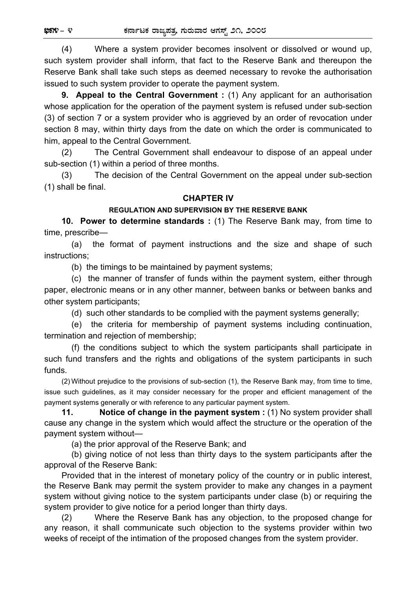(4) Where a system provider becomes insolvent or dissolved or wound up, such system provider shall inform, that fact to the Reserve Bank and thereupon the Reserve Bank shall take such steps as deemed necessary to revoke the authorisation issued to such system provider to operate the payment system.

 **9. Appeal to the Central Government :** (1) Any applicant for an authorisation whose application for the operation of the payment system is refused under sub-section (3) of section 7 or a system provider who is aggrieved by an order of revocation under section 8 may, within thirty days from the date on which the order is communicated to him, appeal to the Central Government.

(2) The Central Government shall endeavour to dispose of an appeal under sub-section (1) within a period of three months.

 (3) The decision of the Central Government on the appeal under sub-section (1) shall be final.

### **CHAPTER IV**

### **REGULATION AND SUPERVISION BY THE RESERVE BANK**

 **10. Power to determine standards :** (1) The Reserve Bank may, from time to time, prescribe—

(a) the format of payment instructions and the size and shape of such instructions;

(b) the timings to be maintained by payment systems;

 (c) the manner of transfer of funds within the payment system, either through paper, electronic means or in any other manner, between banks or between banks and other system participants;

(d) such other standards to be complied with the payment systems generally;

 (e) the criteria for membership of payment systems including continuation, termination and rejection of membership;

 (f) the conditions subject to which the system participants shall participate in such fund transfers and the rights and obligations of the system participants in such funds.

 (2) Without prejudice to the provisions of sub-section (1), the Reserve Bank may, from time to time, issue such guidelines, as it may consider necessary for the proper and efficient management of the payment systems generally or with reference to any particular payment system.

**11.** Notice of change in the payment system : (1) No system provider shall cause any change in the system which would affect the structure or the operation of the payment system without—

(a) the prior approval of the Reserve Bank; and

 (b) giving notice of not less than thirty days to the system participants after the approval of the Reserve Bank:

 Provided that in the interest of monetary policy of the country or in public interest, the Reserve Bank may permit the system provider to make any changes in a payment system without giving notice to the system participants under clase (b) or requiring the system provider to give notice for a period longer than thirty days.

 (2) Where the Reserve Bank has any objection, to the proposed change for any reason, it shall communicate such objection to the systems provider within two weeks of receipt of the intimation of the proposed changes from the system provider.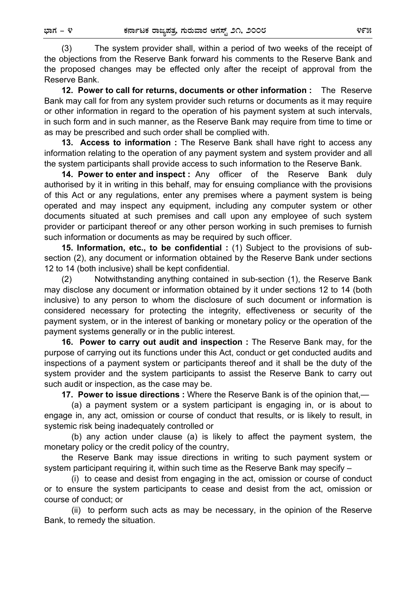(3) The system provider shall, within a period of two weeks of the receipt of the objections from the Reserve Bank forward his comments to the Reserve Bank and the proposed changes may be effected only after the receipt of approval from the Reserve Bank.

 **12. Power to call for returns, documents or other information :** The Reserve Bank may call for from any system provider such returns or documents as it may require or other information in regard to the operation of his payment system at such intervals, in such form and in such manner, as the Reserve Bank may require from time to time or as may be prescribed and such order shall be complied with.

**13. Access to information :** The Reserve Bank shall have right to access any information relating to the operation of any payment system and system provider and all the system participants shall provide access to such information to the Reserve Bank.

**14. Power to enter and inspect :** Any officer of the Reserve Bank duly authorised by it in writing in this behalf, may for ensuing compliance with the provisions of this Act or any regulations, enter any premises where a payment system is being operated and may inspect any equipment, including any computer system or other documents situated at such premises and call upon any employee of such system provider or participant thereof or any other person working in such premises to furnish such information or documents as may be required by such officer.

**15. Information, etc., to be confidential :** (1) Subject to the provisions of subsection (2), any document or information obtained by the Reserve Bank under sections 12 to 14 (both inclusive) shall be kept confidential.

(2) Notwithstanding anything contained in sub-section (1), the Reserve Bank may disclose any document or information obtained by it under sections 12 to 14 (both inclusive) to any person to whom the disclosure of such document or information is considered necessary for protecting the integrity, effectiveness or security of the payment system, or in the interest of banking or monetary policy or the operation of the payment systems generally or in the public interest.

**16. Power to carry out audit and inspection :** The Reserve Bank may, for the purpose of carrying out its functions under this Act, conduct or get conducted audits and inspections of a payment system or participants thereof and it shall be the duty of the system provider and the system participants to assist the Reserve Bank to carry out such audit or inspection, as the case may be.

**17. Power to issue directions :** Where the Reserve Bank is of the opinion that,—

(a) a payment system or a system participant is engaging in, or is about to engage in, any act, omission or course of conduct that results, or is likely to result, in systemic risk being inadequately controlled or

 (b) any action under clause (a) is likely to affect the payment system, the monetary policy or the credit policy of the country,

the Reserve Bank may issue directions in writing to such payment system or system participant requiring it, within such time as the Reserve Bank may specify –

 (i) to cease and desist from engaging in the act, omission or course of conduct or to ensure the system participants to cease and desist from the act, omission or course of conduct; or

 (ii) to perform such acts as may be necessary, in the opinion of the Reserve Bank, to remedy the situation.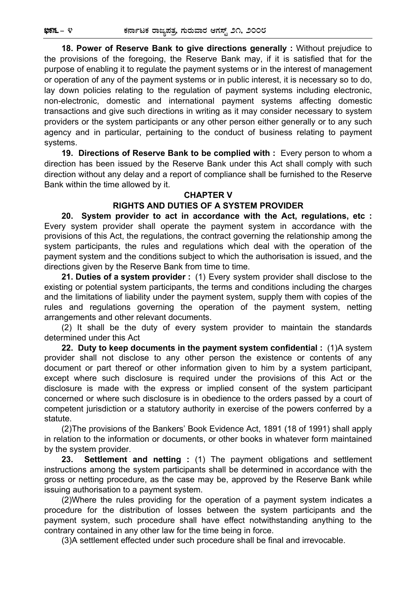**18. Power of Reserve Bank to give directions generally :** Without prejudice to the provisions of the foregoing, the Reserve Bank may, if it is satisfied that for the purpose of enabling it to regulate the payment systems or in the interest of management or operation of any of the payment systems or in public interest, it is necessary so to do, lay down policies relating to the regulation of payment systems including electronic, non-electronic, domestic and international payment systems affecting domestic transactions and give such directions in writing as it may consider necessary to system providers or the system participants or any other person either generally or to any such agency and in particular, pertaining to the conduct of business relating to payment systems.

**19. Directions of Reserve Bank to be complied with :** Every person to whom a direction has been issued by the Reserve Bank under this Act shall comply with such direction without any delay and a report of compliance shall be furnished to the Reserve Bank within the time allowed by it.

#### **CHAPTER V**

#### **RIGHTS AND DUTIES OF A SYSTEM PROVIDER**

**20. System provider to act in accordance with the Act, regulations, etc :** Every system provider shall operate the payment system in accordance with the provisions of this Act, the regulations, the contract governing the relationship among the system participants, the rules and regulations which deal with the operation of the payment system and the conditions subject to which the authorisation is issued, and the directions given by the Reserve Bank from time to time.

**21. Duties of a system provider :** (1) Every system provider shall disclose to the existing or potential system participants, the terms and conditions including the charges and the limitations of liability under the payment system, supply them with copies of the rules and regulations governing the operation of the payment system, netting arrangements and other relevant documents.

(2) It shall be the duty of every system provider to maintain the standards determined under this Act

**22. Duty to keep documents in the payment system confidential :** (1)A system provider shall not disclose to any other person the existence or contents of any document or part thereof or other information given to him by a system participant, except where such disclosure is required under the provisions of this Act or the disclosure is made with the express or implied consent of the system participant concerned or where such disclosure is in obedience to the orders passed by a court of competent jurisdiction or a statutory authority in exercise of the powers conferred by a statute.

(2) The provisions of the Bankers' Book Evidence Act, 1891 (18 of 1991) shall apply in relation to the information or documents, or other books in whatever form maintained by the system provider.

**23. Settlement and netting :** (1) The payment obligations and settlement instructions among the system participants shall be determined in accordance with the gross or netting procedure, as the case may be, approved by the Reserve Bank while issuing authorisation to a payment system.

(2) Where the rules providing for the operation of a payment system indicates a procedure for the distribution of losses between the system participants and the payment system, such procedure shall have effect notwithstanding anything to the contrary contained in any other law for the time being in force.

(3) A settlement effected under such procedure shall be final and irrevocable.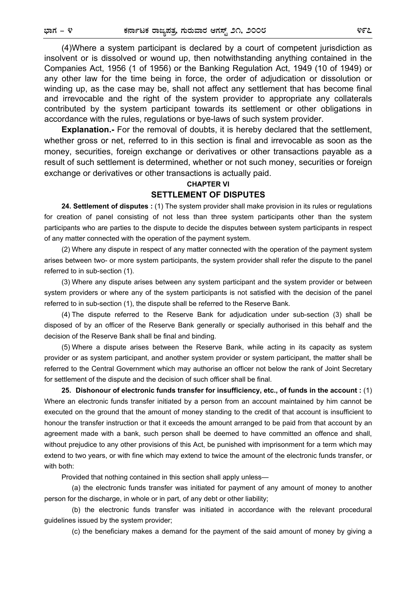(4) Where a system participant is declared by a court of competent jurisdiction as insolvent or is dissolved or wound up, then notwithstanding anything contained in the Companies Act, 1956 (1 of 1956) or the Banking Regulation Act, 1949 (10 of 1949) or any other law for the time being in force, the order of adjudication or dissolution or winding up, as the case may be, shall not affect any settlement that has become final and irrevocable and the right of the system provider to appropriate any collaterals contributed by the system participant towards its settlement or other obligations in accordance with the rules, regulations or bye-laws of such system provider.

**Explanation.-** For the removal of doubts, it is hereby declared that the settlement, whether gross or net, referred to in this section is final and irrevocable as soon as the money, securities, foreign exchange or derivatives or other transactions payable as a result of such settlement is determined, whether or not such money, securities or foreign exchange or derivatives or other transactions is actually paid.

## **CHAPTER VI SETTLEMENT OF DISPUTES**

**24. Settlement of disputes :** (1) The system provider shall make provision in its rules or regulations for creation of panel consisting of not less than three system participants other than the system participants who are parties to the dispute to decide the disputes between system participants in respect of any matter connected with the operation of the payment system.

(2) Where any dispute in respect of any matter connected with the operation of the payment system arises between two- or more system participants, the system provider shall refer the dispute to the panel referred to in sub-section (1).

(3) Where any dispute arises between any system participant and the system provider or between system providers or where any of the system participants is not satisfied with the decision of the panel referred to in sub-section (1), the dispute shall be referred to the Reserve Bank.

(4) The dispute referred to the Reserve Bank for adjudication under sub-section (3) shall be disposed of by an officer of the Reserve Bank generally or specially authorised in this behalf and the decision of the Reserve Bank shall be final and binding.

(5) Where a dispute arises between the Reserve Bank, while acting in its capacity as system provider or as system participant, and another system provider or system participant, the matter shall be referred to the Central Government which may authorise an officer not below the rank of Joint Secretary for settlement of the dispute and the decision of such officer shall be final.

**25. Dishonour of electronic funds transfer for insufficiency, etc., of funds in the account :** (1) Where an electronic funds transfer initiated by a person from an account maintained by him cannot be executed on the ground that the amount of money standing to the credit of that account is insufficient to honour the transfer instruction or that it exceeds the amount arranged to be paid from that account by an agreement made with a bank, such person shall be deemed to have committed an offence and shall, without prejudice to any other provisions of this Act, be punished with imprisonment for a term which may extend to two years, or with fine which may extend to twice the amount of the electronic funds transfer, or with both:

Provided that nothing contained in this section shall apply unless—

 (a) the electronic funds transfer was initiated for payment of any amount of money to another person for the discharge, in whole or in part, of any debt or other liability;

 (b) the electronic funds transfer was initiated in accordance with the relevant procedural guidelines issued by the system provider;

(c) the beneficiary makes a demand for the payment of the said amount of money by giving a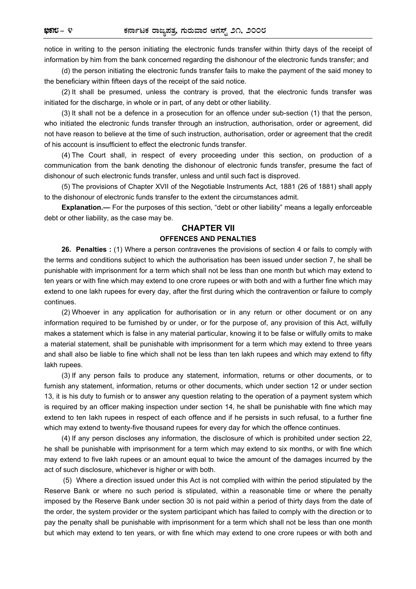notice in writing to the person initiating the electronic funds transfer within thirty days of the receipt of information by him from the bank concerned regarding the dishonour of the electronic funds transfer; and

(d) the person initiating the electronic funds transfer fails to make the payment of the said money to the beneficiary within fifteen days of the receipt of the said notice.

(2) It shall be presumed, unless the contrary is proved, that the electronic funds transfer was initiated for the discharge, in whole or in part, of any debt or other liability.

(3) It shall not be a defence in a prosecution for an offence under sub-section (1) that the person, who initiated the electronic funds transfer through an instruction, authorisation, order or agreement, did not have reason to believe at the time of such instruction, authorisation, order or agreement that the credit of his account is insufficient to effect the electronic funds transfer.

(4) The Court shall, in respect of every proceeding under this section, on production of a communication from the bank denoting the dishonour of electronic funds transfer, presume the fact of dishonour of such electronic funds transfer, unless and until such fact is disproved.

(5) The provisions of Chapter XVII of the Negotiable Instruments Act, 1881 (26 of 1881) shall apply to the dishonour of electronic funds transfer to the extent the circumstances admit.

**Explanation.—** For the purposes of this section, "debt or other liability" means a legally enforceable debt or other liability, as the case may be.

#### **CHAPTER VII**

#### **OFFENCES AND PENALTIES**

**26. Penalties :** (1) Where a person contravenes the provisions of section 4 or fails to comply with the terms and conditions subject to which the authorisation has been issued under section 7, he shall be punishable with imprisonment for a term which shall not be less than one month but which may extend to ten years or with fine which may extend to one crore rupees or with both and with a further fine which may extend to one lakh rupees for every day, after the first during which the contravention or failure to comply continues.

(2) Whoever in any application for authorisation or in any return or other document or on any information required to be furnished by or under, or for the purpose of, any provision of this Act, wilfully makes a statement which is false in any material particular, knowing it to be false or wilfully omits to make a material statement, shall be punishable with imprisonment for a term which may extend to three years and shall also be liable to fine which shall not be less than ten lakh rupees and which may extend to fifty Iakh rupees.

(3) If any person fails to produce any statement, information, returns or other documents, or to furnish any statement, information, returns or other documents, which under section 12 or under section 13, it is his duty to furnish or to answer any question relating to the operation of a payment system which is required by an officer making inspection under section 14, he shall be punishable with fine which may extend to ten Iakh rupees in respect of each offence and if he persists in such refusal, to a further fine which may extend to twenty-five thousand rupees for every day for which the offence continues.

(4) If any person discloses any information, the disclosure of which is prohibited under section 22, he shall be punishable with imprisonment for a term which may extend to six months, or with fine which may extend to five lakh rupees or an amount equal to twice the amount of the damages incurred by the act of such disclosure, whichever is higher or with both.

(5) Where a direction issued under this Act is not complied with within the period stipulated by the Reserve Bank or where no such period is stipulated, within a reasonable time or where the penalty imposed by the Reserve Bank under section 30 is not paid within a period of thirty days from the date of the order, the system provider or the system participant which has failed to comply with the direction or to pay the penalty shall be punishable with imprisonment for a term which shall not be less than one month but which may extend to ten years, or with fine which may extend to one crore rupees or with both and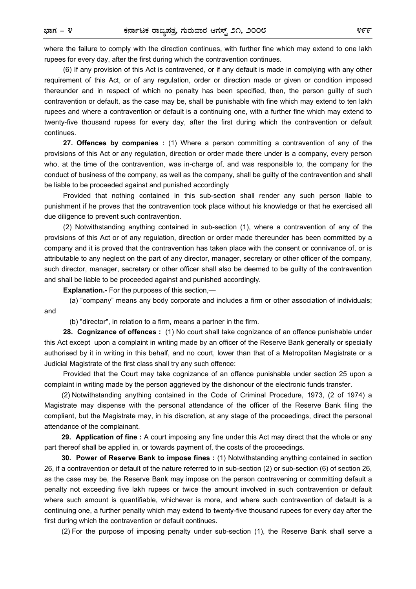where the failure to comply with the direction continues, with further fine which may extend to one lakh rupees for every day, after the first during which the contravention continues.

 (6) If any provision of this Act is contravened, or if any default is made in complying with any other requirement of this Act, or of any regulation, order or direction made or given or condition imposed thereunder and in respect of which no penalty has been specified, then, the person guilty of such contravention or default, as the case may be, shall be punishable with fine which may extend to ten lakh rupees and where a contravention or default is a continuing one, with a further fine which may extend to twenty-five thousand rupees for every day, after the first during which the contravention or default continues.

**27. Offences by companies :** (1) Where a person committing a contravention of any of the provisions of this Act or any regulation, direction or order made there under is a company, every person who, at the time of the contravention, was in-charge of, and was responsible to, the company for the conduct of business of the company, as well as the company, shall be guilty of the contravention and shall be liable to be proceeded against and punished accordingly

Provided that nothing contained in this sub-section shall render any such person liable to punishment if he proves that the contravention took place without his knowledge or that he exercised all due diligence to prevent such contravention.

 (2) Notwithstanding anything contained in sub-section (1), where a contravention of any of the provisions of this Act or of any regulation, direction or order made thereunder has been committed by a company and it is proved that the contravention has taken place with the consent or connivance of, or is attributable to any neglect on the part of any director, manager, secretary or other officer of the company, such director, manager, secretary or other officer shall also be deemed to be guilty of the contravention and shall be liable to be proceeded against and punished accordingly.

**Explanation.-** For the purposes of this section,—

 (a) "company" means any body corporate and includes a firm or other association of individuals; and

(b) "director", in relation to a firm, means a partner in the firm.

 **28. Cognizance of offences :** (1) No court shall take cognizance of an offence punishable under this Act except upon a complaint in writing made by an officer of the Reserve Bank generally or specially authorised by it in writing in this behalf, and no court, lower than that of a Metropolitan Magistrate or a Judicial Magistrate of the first class shall try any such offence:

 Provided that the Court may take cognizance of an offence punishable under section 25 upon a complaint in writing made by the person aggrieved by the dishonour of the electronic funds transfer.

(2) Notwithstanding anything contained in the Code of Criminal Procedure, 1973, (2 of 1974) a Magistrate may dispense with the personal attendance of the officer of the Reserve Bank filing the compliant, but the Magistrate may, in his discretion, at any stage of the proceedings, direct the personal attendance of the complainant.

**29. Application of fine :** A court imposing any fine under this Act may direct that the whole or any part thereof shall be applied in, or towards payment of, the costs of the proceedings.

**30. Power of Reserve Bank to impose fines :** (1) Notwithstanding anything contained in section 26, if a contravention or default of the nature referred to in sub-section (2) or sub-section (6) of section 26, as the case may be, the Reserve Bank may impose on the person contravening or committing default a penalty not exceeding five lakh rupees or twice the amount involved in such contravention or default where such amount is quantifiable, whichever is more, and where such contravention of default is a continuing one, a further penalty which may extend to twenty-five thousand rupees for every day after the first during which the contravention or default continues.

(2) For the purpose of imposing penalty under sub-section (1), the Reserve Bank shall serve a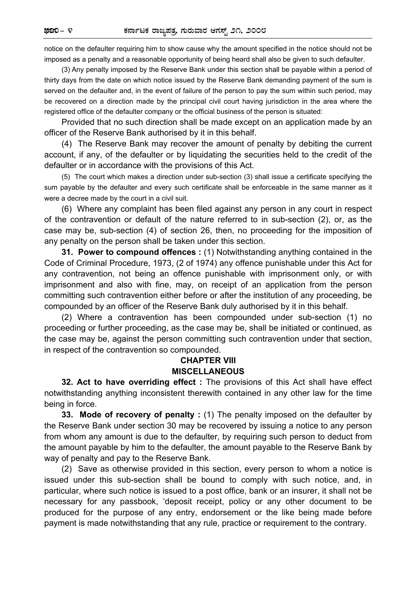notice on the defaulter requiring him to show cause why the amount specified in the notice should not be imposed as a penalty and a reasonable opportunity of being heard shall also be given to such defaulter.

(3) Any penalty imposed by the Reserve Bank under this section shall be payable within a period of thirty days from the date on which notice issued by the Reserve Bank demanding payment of the sum is served on the defaulter and, in the event of failure of the person to pay the sum within such period, may be recovered on a direction made by the principal civil court having jurisdiction in the area where the registered office of the defaulter company or the official business of the person is situated:

Provided that no such direction shall be made except on an application made by an officer of the Reserve Bank authorised by it in this behalf.

(4) The Reserve Bank may recover the amount of penalty by debiting the current account, if any, of the defaulter or by liquidating the securities held to the credit of the defaulter or in accordance with the provisions of this Act.

(5) The court which makes a direction under sub-section (3) shall issue a certificate specifying the sum payable by the defaulter and every such certificate shall be enforceable in the same manner as it were a decree made by the court in a civil suit.

(6) Where any complaint has been filed against any person in any court in respect of the contravention or default of the nature referred to in sub-section (2), or, as the case may be, sub-section (4) of section 26, then, no proceeding for the imposition of any penalty on the person shall be taken under this section.

**31. Power to compound offences :** (1) Notwithstanding anything contained in the Code of Criminal Procedure, 1973, (2 of 1974) any offence punishable under this Act for any contravention, not being an offence punishable with imprisonment only, or with imprisonment and also with fine, may, on receipt of an application from the person committing such contravention either before or after the institution of any proceeding, be compounded by an officer of the Reserve Bank duly authorised by it in this behalf.

(2) Where a contravention has been compounded under sub-section (1) no proceeding or further proceeding, as the case may be, shall be initiated or continued, as the case may be, against the person committing such contravention under that section, in respect of the contravention so compounded.

## **CHAPTER VIII MISCELLANEOUS**

**32. Act to have overriding effect :** The provisions of this Act shall have effect notwithstanding anything inconsistent therewith contained in any other law for the time being in force.

**33. Mode of recovery of penalty :** (1) The penalty imposed on the defaulter by the Reserve Bank under section 30 may be recovered by issuing a notice to any person from whom any amount is due to the defaulter, by requiring such person to deduct from the amount payable by him to the defaulter, the amount payable to the Reserve Bank by way of penalty and pay to the Reserve Bank.

(2) Save as otherwise provided in this section, every person to whom a notice is issued under this sub-section shall be bound to comply with such notice, and, in particular, where such notice is issued to a post office, bank or an insurer, it shall not be necessary for any passbook, 'deposit receipt, policy or any other document to be produced for the purpose of any entry, endorsement or the like being made before payment is made notwithstanding that any rule, practice or requirement to the contrary.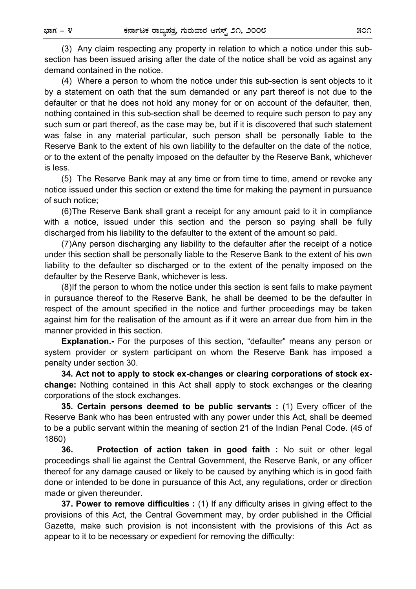(3) Any claim respecting any property in relation to which a notice under this subsection has been issued arising after the date of the notice shall be void as against any demand contained in the notice.

(4) Where a person to whom the notice under this sub-section is sent objects to it by a statement on oath that the sum demanded or any part thereof is not due to the defaulter or that he does not hold any money for or on account of the defaulter, then, nothing contained in this sub-section shall be deemed to require such person to pay any such sum or part thereof, as the case may be, but if it is discovered that such statement was false in any material particular, such person shall be personally liable to the Reserve Bank to the extent of his own liability to the defaulter on the date of the notice, or to the extent of the penalty imposed on the defaulter by the Reserve Bank, whichever is less.

(5) The Reserve Bank may at any time or from time to time, amend or revoke any notice issued under this section or extend the time for making the payment in pursuance of such notice;

(6) The Reserve Bank shall grant a receipt for any amount paid to it in compliance with a notice, issued under this section and the person so paying shall be fully discharged from his liability to the defaulter to the extent of the amount so paid.

(7) Any person discharging any liability to the defaulter after the receipt of a notice under this section shall be personally liable to the Reserve Bank to the extent of his own liability to the defaulter so discharged or to the extent of the penalty imposed on the defaulter by the Reserve Bank, whichever is less.

(8) If the person to whom the notice under this section is sent fails to make payment in pursuance thereof to the Reserve Bank, he shall be deemed to be the defaulter in respect of the amount specified in the notice and further proceedings may be taken against him for the realisation of the amount as if it were an arrear due from him in the manner provided in this section.

**Explanation.-** For the purposes of this section, "defaulter" means any person or system provider or system participant on whom the Reserve Bank has imposed a penalty under section 30.

**34. Act not to apply to stock ex-changes or clearing corporations of stock exchange:** Nothing contained in this Act shall apply to stock exchanges or the clearing corporations of the stock exchanges.

**35. Certain persons deemed to be public servants :** (1) Every officer of the Reserve Bank who has been entrusted with any power under this Act, shall be deemed to be a public servant within the meaning of section 21 of the Indian Penal Code. (45 of 1860)

**36. Protection of action taken in good faith :** No suit or other legal proceedings shall lie against the Central Government, the Reserve Bank, or any officer thereof for any damage caused or likely to be caused by anything which is in good faith done or intended to be done in pursuance of this Act, any regulations, order or direction made or given thereunder.

**37. Power to remove difficulties :** (1) If any difficulty arises in giving effect to the provisions of this Act, the Central Government may, by order published in the Official Gazette, make such provision is not inconsistent with the provisions of this Act as appear to it to be necessary or expedient for removing the difficulty: